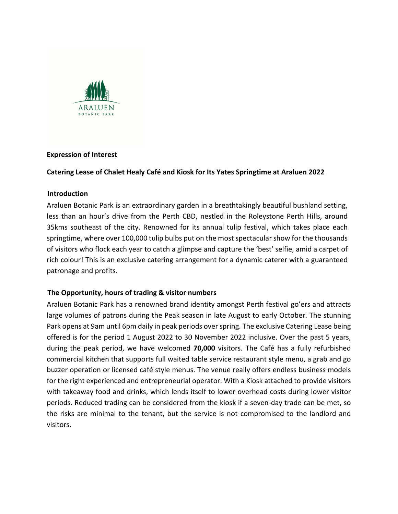

## **Expression of Interest**

## **Catering Lease of Chalet Healy Café and Kiosk for Its Yates Springtime at Araluen 2022**

#### **Introduction**

Araluen Botanic Park is an extraordinary garden in a breathtakingly beautiful bushland setting, less than an hour's drive from the Perth CBD, nestled in the Roleystone Perth Hills, around 35kms southeast of the city. Renowned for its annual tulip festival, which takes place each springtime, where over 100,000 tulip bulbs put on the most spectacular show for the thousands of visitors who flock each year to catch a glimpse and capture the 'best' selfie, amid a carpet of rich colour! This is an exclusive catering arrangement for a dynamic caterer with a guaranteed patronage and profits.

# **The Opportunity, hours of trading & visitor numbers**

Araluen Botanic Park has a renowned brand identity amongst Perth festival go'ers and attracts large volumes of patrons during the Peak season in late August to early October. The stunning Park opens at 9am until 6pm daily in peak periods over spring. The exclusive Catering Lease being offered is for the period 1 August 2022 to 30 November 2022 inclusive. Over the past 5 years, during the peak period, we have welcomed **70,000** visitors. The Café has a fully refurbished commercial kitchen that supports full waited table service restaurant style menu, a grab and go buzzer operation or licensed café style menus. The venue really offers endless business models for the right experienced and entrepreneurial operator. With a Kiosk attached to provide visitors with takeaway food and drinks, which lends itself to lower overhead costs during lower visitor periods. Reduced trading can be considered from the kiosk if a seven-day trade can be met, so the risks are minimal to the tenant, but the service is not compromised to the landlord and visitors.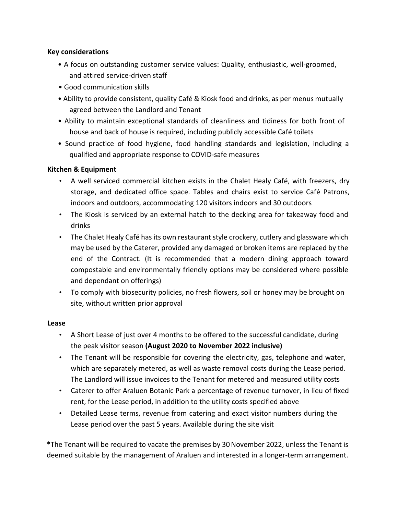# **Key considerations**

- A focus on outstanding customer service values: Quality, enthusiastic, well-groomed, and attired service-driven staff
- Good communication skills
- Ability to provide consistent, quality Café & Kiosk food and drinks, as per menus mutually agreed between the Landlord and Tenant
- Ability to maintain exceptional standards of cleanliness and tidiness for both front of house and back of house is required, including publicly accessible Café toilets
- Sound practice of food hygiene, food handling standards and legislation, including a qualified and appropriate response to COVID-safe measures

## **Kitchen & Equipment**

- A well serviced commercial kitchen exists in the Chalet Healy Café, with freezers, dry storage, and dedicated office space. Tables and chairs exist to service Café Patrons, indoors and outdoors, accommodating 120 visitors indoors and 30 outdoors
- The Kiosk is serviced by an external hatch to the decking area for takeaway food and drinks
- The Chalet Healy Café has its own restaurant style crockery, cutlery and glassware which may be used by the Caterer, provided any damaged or broken items are replaced by the end of the Contract. (It is recommended that a modern dining approach toward compostable and environmentally friendly options may be considered where possible and dependant on offerings)
- To comply with biosecurity policies, no fresh flowers, soil or honey may be brought on site, without written prior approval

#### **Lease**

- A Short Lease of just over 4 months to be offered to the successful candidate, during the peak visitor season **(August 2020 to November 2022 inclusive)**
- The Tenant will be responsible for covering the electricity, gas, telephone and water, which are separately metered, as well as waste removal costs during the Lease period. The Landlord will issue invoices to the Tenant for metered and measured utility costs
- Caterer to offer Araluen Botanic Park a percentage of revenue turnover, in lieu of fixed rent, for the Lease period, in addition to the utility costs specified above
- Detailed Lease terms, revenue from catering and exact visitor numbers during the Lease period over the past 5 years. Available during the site visit

**\***The Tenant will be required to vacate the premises by 30November 2022, unless the Tenant is deemed suitable by the management of Araluen and interested in a longer-term arrangement.